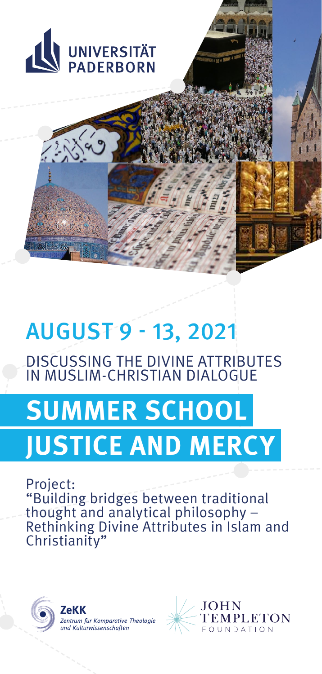

# AUGUST 9 - 13, 2021

DISCUSSING THE DIVINE ATTRIBUTES IN MUSLIM-CHRISTIAN DIALOGUE

# **SUMMER SCHOOL JUSTICE AND MERCY**

Project: "Building bridges between traditional thought and analytical philosophy – Rethinking Divine Attributes in Islam and Christianity"



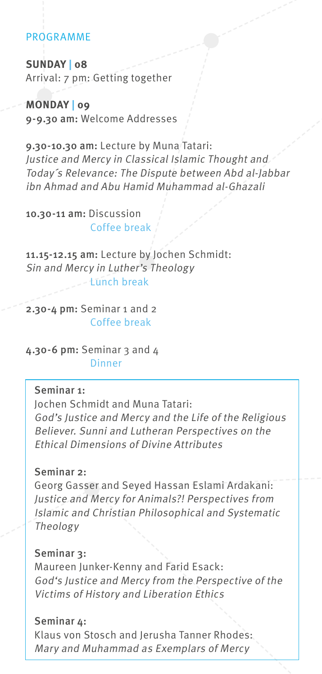# PROGRAMME

**SUNDAY | 08** Arrival: 7 pm: Getting together

**MONDAY | 09** 9-9.30 am: Welcome Addresses

9.30-10.30 am: Lecture by Muna Tatari: Justice and Mercy in Classical Islamic Thought and Today´s Relevance: The Dispute between Abd al-Jabbar ibn Ahmad and Abu Hamid Muhammad al-Ghazali

10.30-11 am: Discussion Coffee break

11.15-12.15 am: Lecture by Jochen Schmidt: Sin and Mercy in Luther's Theology  $-$ Hunch break

2.30-4 pm: Seminar 1 and 2 Coffee break

4.30-6 pm: Seminar 3 and 4 Dinner

# Seminar 1:

Jochen Schmidt and Muna Tatari: God's Justice and Mercy and the Life of the Religious Believer. Sunni and Lutheran Perspectives on the Ethical Dimensions of Divine Attributes

# Seminar 2:

Georg Gasser and Seyed Hassan Eslami Ardakani: Justice and Mercy for Animals?! Perspectives from Islamic and Christian Philosophical and Systematic Theology

# Seminar 3:

Maureen Junker-Kenny and Farid Esack: God's Justice and Mercy from the Perspective of the Victims of History and Liberation Ethics

#### Seminar 4:

Klaus von Stosch and Jerusha Tanner Rhodes: Mary and Muhammad as Exemplars of Mercy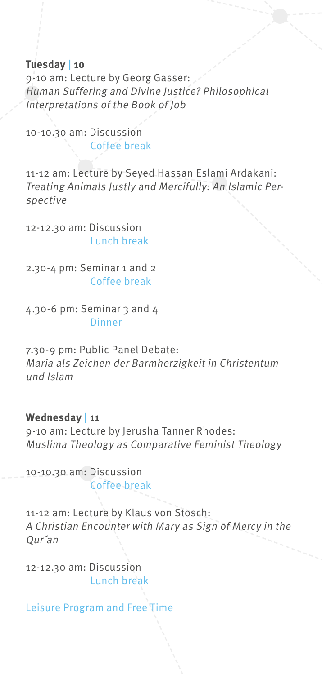#### **Tuesday | 10**

9-10 am: Lecture by Georg Gasser: Human Suffering and Divine Justice? Philosophical Interpretations of the Book of Job

10-10.30 am: Discussion Coffee break

11-12 am: Lecture by Seyed Hassan Eslami Ardakani: Treating Animals Justly and Mercifully: An Islamic Perspective

12-12.30 am: Discussion Lunch break

2.30-4 pm: Seminar 1 and 2 Coffee break

4.30-6 pm: Seminar 3 and 4 **Dinner** 

7.30-9 pm: Public Panel Debate: Maria als Zeichen der Barmherzigkeit in Christentum und Islam

# **Wednesday | 11**

9-10 am: Lecture by Jerusha Tanner Rhodes: Muslima Theology as Comparative Feminist Theology

10-10.30 am: Discussion Coffee break

11-12 am: Lecture by Klaus von Stosch: A Christian Encounter with Mary as Sign of Mercy in the Qur´an

12-12.30 am: Discussion Lunch break

Leisure Program and Free Time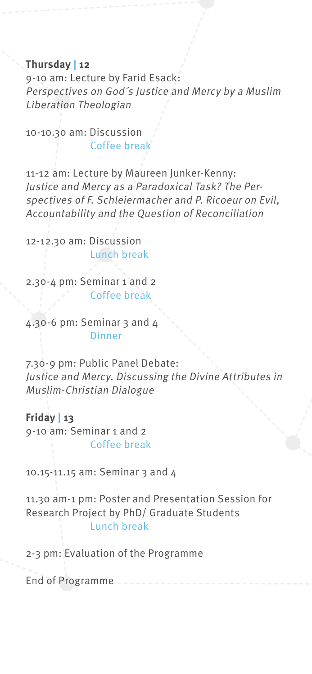#### **Thursday | 12**

9-10 am: Lecture by Farid Esack: Perspectives on God´s Justice and Mercy by a Muslim Liberation Theologian

10-10.30 am: Discussion Coffee break

11-12 am: Lecture by Maureen Junker-Kenny: Justice and Mercy as a Paradoxical Task? The Perspectives of F. Schleiermacher and P. Ricoeur on Evil, Accountability and the Question of Reconciliation

12-12.30 am: Discussion Lunch break

2.30-4 pm: Seminar 1 and 2 Coffee break

4.30-6 pm: Seminar 3 and 4 **Dinner** 

7.30-9 pm: Public Panel Debate: Justice and Mercy. Discussing the Divine Attributes in Muslim-Christian Dialogue

**Friday | 13** 9-10 am: Seminar 1 and 2 Coffee break

10.15-11.15 am: Seminar 3 and 4

11.30 am-1 pm: Poster and Presentation Session for Research Project by PhD/ Graduate Students Lunch break

2-3 pm: Evaluation of the Programme

End of Programme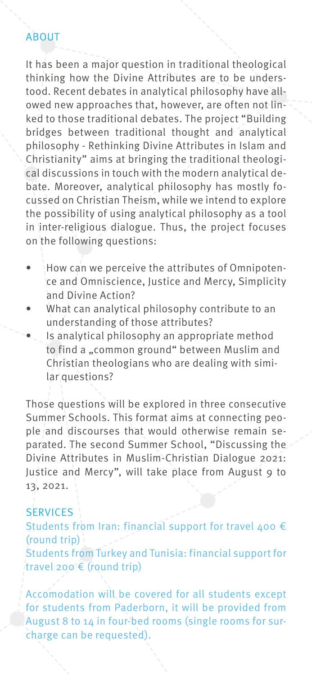# ABOUT

It has been a major question in traditional theological thinking how the Divine Attributes are to be understood. Recent debates in analytical philosophy have allowed new approaches that, however, are often not linked to those traditional debates. The project "Building bridges between traditional thought and analytical philosophy - Rethinking Divine Attributes in Islam and Christianity" aims at bringing the traditional theological discussions in touch with the modern analytical debate. Moreover, analytical philosophy has mostly focussed on Christian Theism, while we intend to explore the possibility of using analytical philosophy as a tool in inter-religious dialogue. Thus, the project focuses on the following questions:

- How can we perceive the attributes of Omnipotence and Omniscience, Justice and Mercy, Simplicity and Divine Action?
- What can analytical philosophy contribute to an understanding of those attributes?
- Is analytical philosophy an appropriate method to find a "common ground" between Muslim and Christian theologians who are dealing with similar questions?

Those questions will be explored in three consecutive Summer Schools. This format aims at connecting people and discourses that would otherwise remain separated. The second Summer School, "Discussing the Divine Attributes in Muslim-Christian Dialogue 2021: Justice and Mercy", will take place from August 9 to 13, 2021.

#### **SERVICES**

Students from Iran: financial support for travel 400  $\epsilon$ (round trip) Students from Turkey and Tunisia: financial support for travel 200 € (round trip)

Accomodation will be covered for all students except for students from Paderborn, it will be provided from August 8 to 14 in four-bed rooms (single rooms for surcharge can be requested).